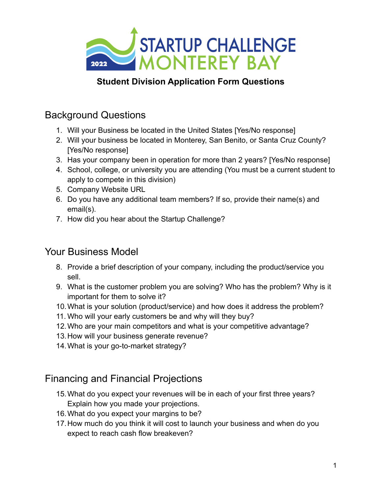

## **Student Division Application Form Questions**

# Background Questions

- 1. Will your Business be located in the United States [Yes/No response]
- 2. Will your business be located in Monterey, San Benito, or Santa Cruz County? [Yes/No response]
- 3. Has your company been in operation for more than 2 years? [Yes/No response]
- 4. School, college, or university you are attending (You must be a current student to apply to compete in this division)
- 5. Company Website URL
- 6. Do you have any additional team members? If so, provide their name(s) and email(s).
- 7. How did you hear about the Startup Challenge?

# Your Business Model

- 8. Provide a brief description of your company, including the product/service you sell.
- 9. What is the customer problem you are solving? Who has the problem? Why is it important for them to solve it?
- 10.What is your solution (product/service) and how does it address the problem?
- 11. Who will your early customers be and why will they buy?
- 12.Who are your main competitors and what is your competitive advantage?
- 13.How will your business generate revenue?
- 14.What is your go-to-market strategy?

# Financing and Financial Projections

- 15.What do you expect your revenues will be in each of your first three years? Explain how you made your projections.
- 16.What do you expect your margins to be?
- 17.How much do you think it will cost to launch your business and when do you expect to reach cash flow breakeven?